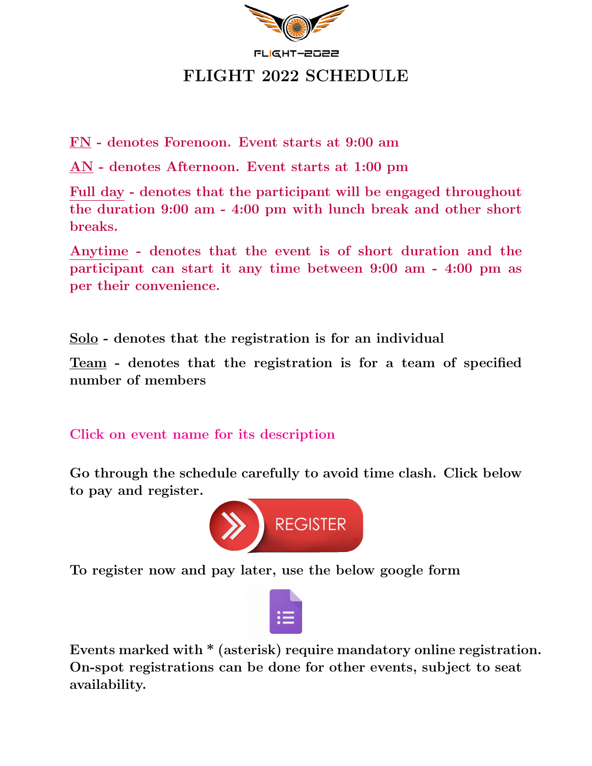

FN - denotes Forenoon. Event starts at 9:00 am

AN - denotes Afternoon. Event starts at 1:00 pm

Full day - denotes that the participant will be engaged throughout the duration 9:00 am - 4:00 pm with lunch break and other short breaks.

Anytime - denotes that the event is of short duration and the participant can start it any time between 9:00 am - 4:00 pm as per their convenience.

Solo - denotes that the registration is for an individual

Team - denotes that the registration is for a team of specified number of members

Click on event name for its description

Go through the schedule carefully to avoid time clash. Click below to pay and register.



To register now and pay later, use the below google form



Events marked with \* (asterisk) require mandatory online registration. On-spot registrations can be done for other events, subject to seat availability.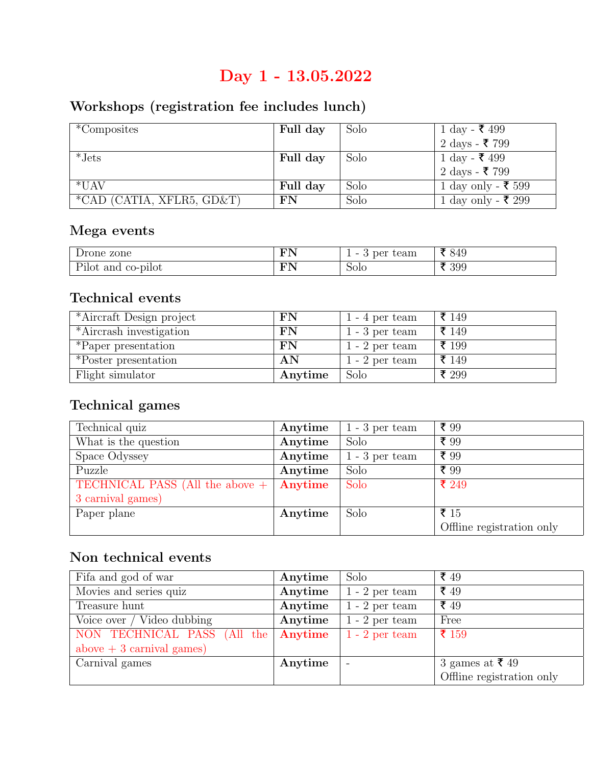# Day 1 - 13.05.2022

# Workshops (registration fee includes lunch)

| *Composites               | Full day | Solo | 1 day - ₹ 499            |
|---------------------------|----------|------|--------------------------|
|                           |          |      | 2 days - ₹ 799           |
| $*Jets$                   | Full day | Solo | 1 day - ₹ 499            |
|                           |          |      | $2 \text{ days}$ - ₹ 799 |
| $*$ UAV                   | Full day | Solo | 1 day only - ₹ 599       |
| *CAD (CATIA, XFLR5, GD&T) | FN       | Solo | 1 day only - ₹ 299       |

### Mega events

| rone zone                       | <b>TANT</b>   | team<br>per<br>$\sim$<br>ບ<br>- | 849 |
|---------------------------------|---------------|---------------------------------|-----|
| n.,<br>co-pilot<br>and<br>'ılot | $T\mathbf{A}$ | 5010                            | 399 |

### Technical events

| *Aircraft Design project | ${\rm FN}$ | $1 - 4$ per team | ₹ 149 |
|--------------------------|------------|------------------|-------|
| *Aircrash investigation  | FN         | $1 - 3$ per team | ₹ 149 |
| *Paper presentation      | FN         | $1 - 2$ per team | ₹ 199 |
| *Poster presentation     | AN         | $1 - 2$ per team | ₹ 149 |
| Flight simulator         | Anytime    | Solo             | ₹ 299 |

# Technical games

| Technical quiz                  | Anytime | $1 - 3$ per team | ₹ 99                      |
|---------------------------------|---------|------------------|---------------------------|
| What is the question            | Anytime | Solo             | ₹ 99                      |
| Space Odyssey                   | Anytime | $1 - 3$ per team | ₹ 99                      |
| Puzzle                          | Anytime | Solo             | ₹ 99                      |
| TECHNICAL PASS (All the above + | Anytime | Solo             | ₹ 249                     |
| 3 carnival games)               |         |                  |                           |
| Paper plane                     | Anytime | Solo             | ₹ 15                      |
|                                 |         |                  | Offline registration only |

## Non technical events

| Fifa and god of war         | Anytime | Solo                     | ₹ $49$                    |
|-----------------------------|---------|--------------------------|---------------------------|
| Movies and series quiz      | Anytime | $1 - 2$ per team         | ₹ $49$                    |
| Treasure hunt               | Anytime | $1 - 2$ per team         | ₹ $49$                    |
| Voice over / Video dubbing  | Anytime | $1 - 2$ per team         | Free                      |
| NON TECHNICAL PASS (All the | Anytime | $1 - 2$ per team         | $\bar{x}$ 159             |
| above $+3$ carnival games)  |         |                          |                           |
| Carnival games              | Anytime | $\overline{\phantom{a}}$ | 3 games at ₹49            |
|                             |         |                          | Offline registration only |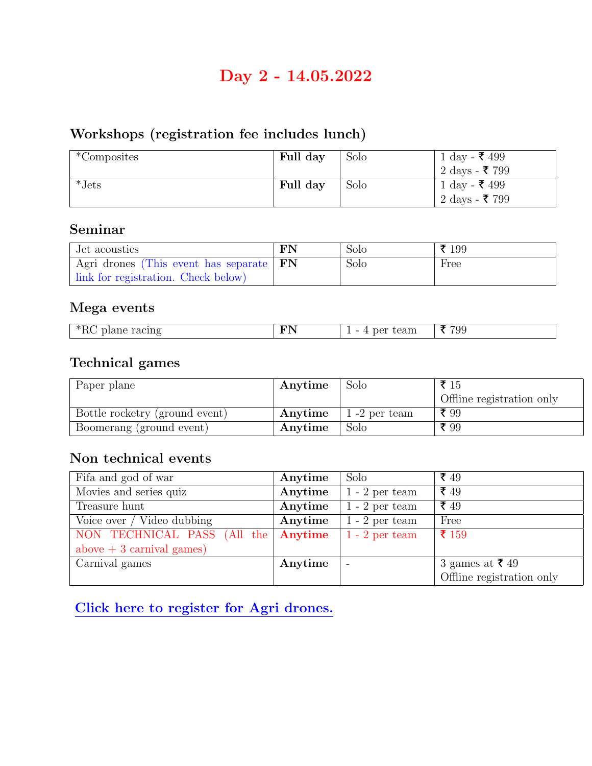# Day 2 - 14.05.2022

# Workshops (registration fee includes lunch)

| *Composites | Full day | Solo | 1 day - ₹ 499  |
|-------------|----------|------|----------------|
|             |          |      | 2 days - ₹ 799 |
| $*Jets$     | Full day | Solo | 1 day - ₹ 499  |
|             |          |      | 2 days - ₹ 799 |

### Seminar

| Jet acoustics                             | FN | Solo | ₹ 199 |
|-------------------------------------------|----|------|-------|
| Agri drones (This event has separate   FN |    | Solo | Free  |
| link for registration. Check below)       |    |      |       |

#### Mega events

| --<br>$\sim$<br>__ | - | 16<br>--<br>___ | ΊU<br>ಀಀ<br>$\sim$ $\sim$ |
|--------------------|---|-----------------|---------------------------|

### Technical games

| Paper plane                    | Anytime | Solo           | ₹ 15                      |
|--------------------------------|---------|----------------|---------------------------|
|                                |         |                | Offline registration only |
| Bottle rocketry (ground event) | Anytime | $1-2$ per team | ₹ 99                      |
| Boomerang (ground event)       | Anytime | Solo           | ₹ 99                      |

### Non technical events

| Fifa and god of war         | Anytime | Solo              | ₹ 49                      |
|-----------------------------|---------|-------------------|---------------------------|
| Movies and series quiz      | Anytime | $1 - 2$ per team  | ₹ 49                      |
| Treasure hunt               | Anytime | $1 - 2$ per team  | ₹ 49                      |
| Voice over / Video dubbing  | Anytime | $1 - 2$ per team  | Free                      |
| NON TECHNICAL PASS (All the | Anytime | $1 - 2$ per team  | ₹ 159                     |
| above $+3$ carnival games)  |         |                   |                           |
| Carnival games              | Anytime | $\qquad \qquad -$ | 3 games at ₹49            |
|                             |         |                   | Offline registration only |

[Click here to register for Agri drones.](https://forms.gle/SpbkA33cMnRvXEpP6)